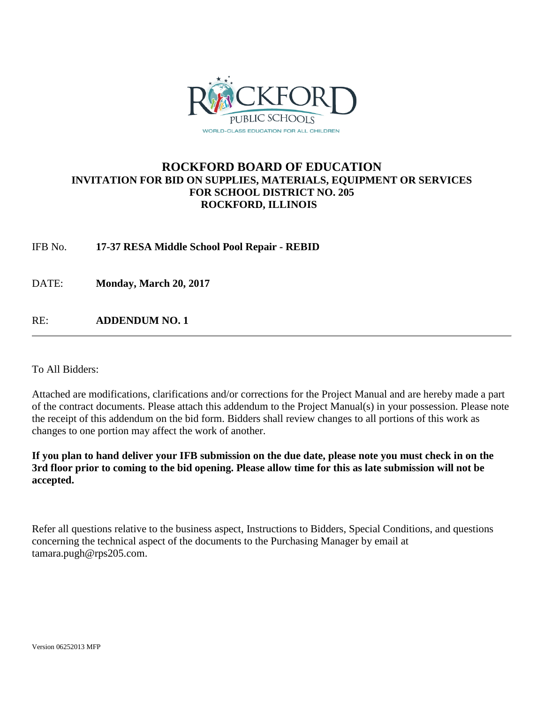

### **ROCKFORD BOARD OF EDUCATION INVITATION FOR BID ON SUPPLIES, MATERIALS, EQUIPMENT OR SERVICES FOR SCHOOL DISTRICT NO. 205 ROCKFORD, ILLINOIS**

IFB No. **17-37 RESA Middle School Pool Repair - REBID**

DATE: **Monday, March 20, 2017**

RE: **ADDENDUM NO. 1**

To All Bidders:

Attached are modifications, clarifications and/or corrections for the Project Manual and are hereby made a part of the contract documents. Please attach this addendum to the Project Manual(s) in your possession. Please note the receipt of this addendum on the bid form. Bidders shall review changes to all portions of this work as changes to one portion may affect the work of another.

**If you plan to hand deliver your IFB submission on the due date, please note you must check in on the 3rd floor prior to coming to the bid opening. Please allow time for this as late submission will not be accepted.**

Refer all questions relative to the business aspect, Instructions to Bidders, Special Conditions, and questions concerning the technical aspect of the documents to the Purchasing Manager by email at tamara.pugh@rps205.com.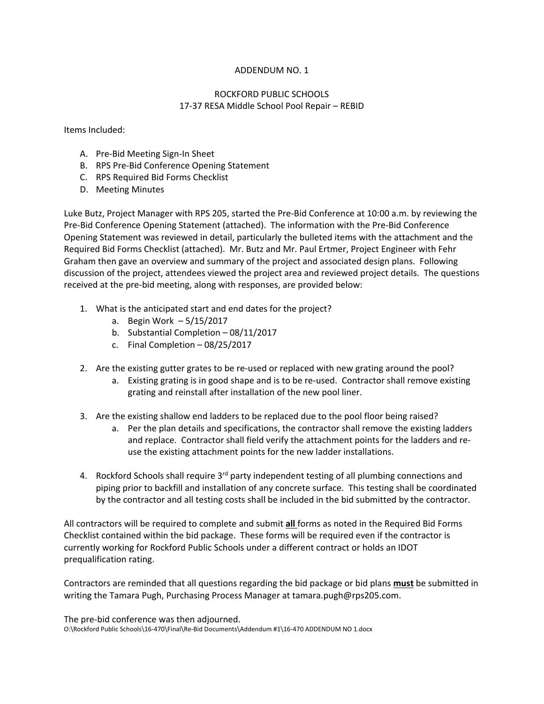#### ADDENDUM NO. 1

### ROCKFORD PUBLIC SCHOOLS 17‐37 RESA Middle School Pool Repair – REBID

Items Included:

- A. Pre‐Bid Meeting Sign‐In Sheet
- B. RPS Pre‐Bid Conference Opening Statement
- C. RPS Required Bid Forms Checklist
- D. Meeting Minutes

Luke Butz, Project Manager with RPS 205, started the Pre‐Bid Conference at 10:00 a.m. by reviewing the Pre‐Bid Conference Opening Statement (attached). The information with the Pre‐Bid Conference Opening Statement was reviewed in detail, particularly the bulleted items with the attachment and the Required Bid Forms Checklist (attached). Mr. Butz and Mr. Paul Ertmer, Project Engineer with Fehr Graham then gave an overview and summary of the project and associated design plans. Following discussion of the project, attendees viewed the project area and reviewed project details. The questions received at the pre‐bid meeting, along with responses, are provided below:

- 1. What is the anticipated start and end dates for the project?
	- a. Begin Work 5/15/2017
	- b. Substantial Completion 08/11/2017
	- c. Final Completion 08/25/2017
- 2. Are the existing gutter grates to be re-used or replaced with new grating around the pool?
	- a. Existing grating is in good shape and is to be re‐used. Contractor shall remove existing grating and reinstall after installation of the new pool liner.
- 3. Are the existing shallow end ladders to be replaced due to the pool floor being raised?
	- a. Per the plan details and specifications, the contractor shall remove the existing ladders and replace. Contractor shall field verify the attachment points for the ladders and re‐ use the existing attachment points for the new ladder installations.
- 4. Rockford Schools shall require 3<sup>rd</sup> party independent testing of all plumbing connections and piping prior to backfill and installation of any concrete surface. This testing shall be coordinated by the contractor and all testing costs shall be included in the bid submitted by the contractor.

All contractors will be required to complete and submit **all** forms as noted in the Required Bid Forms Checklist contained within the bid package. These forms will be required even if the contractor is currently working for Rockford Public Schools under a different contract or holds an IDOT prequalification rating.

Contractors are reminded that all questions regarding the bid package or bid plans **must** be submitted in writing the Tamara Pugh, Purchasing Process Manager at tamara.pugh@rps205.com.

The pre‐bid conference was then adjourned. O:\Rockford Public Schools\16‐470\Final\Re‐Bid Documents\Addendum #1\16‐470 ADDENDUM NO 1.docx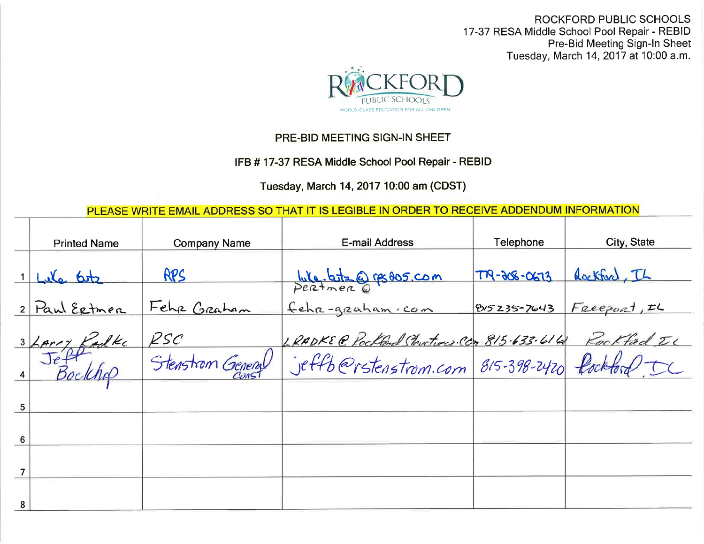ROCKFORD PUBLIC SCHOOLS 17-37 RESA Middle School Pool Repair - REBID<br>Pre-Bid Meeting Sign-In Sheet Tuesday, March 14, 2017 at 10:00 a.m.



## PRE-BID MEETING SIGN-IN SHEET

# IFB # 17-37 RESA Middle School Pool Repair - REBID

Tuesday, March 14, 2017 10:00 am (CDST)

PLEASE WRITE EMAIL ADDRESS SO THAT IT IS LEGIBLE IN ORDER TO RECEIVE ADDENDUM INFORMATION

|                                       | <b>Printed Name</b> | <b>Company Name</b>      | E-mail Address                                         | <b>Telephone</b>  | City, State  |
|---------------------------------------|---------------------|--------------------------|--------------------------------------------------------|-------------------|--------------|
|                                       | 1 Lila botz         | RPS                      | We.botz@resos.com                                      | $TR - 308 - 0673$ | Rackford, IL |
|                                       | 2 Paul Extreme      | Fehr Graham              | fehr-graham.com                                        | 815235-7643       | Freeport, IL |
|                                       |                     |                          |                                                        |                   |              |
| $\begin{array}{c} \hline \end{array}$ | 3 Lars Eadle        | RSC<br>Stenstrom General | LRADKE @ Pockbod Structures Co. 815.633.614 Pockfod IC |                   |              |
| 5                                     |                     |                          |                                                        |                   |              |
| 6                                     |                     |                          |                                                        |                   |              |
| $\overline{7}$                        |                     |                          |                                                        |                   |              |
| 8                                     |                     |                          |                                                        |                   |              |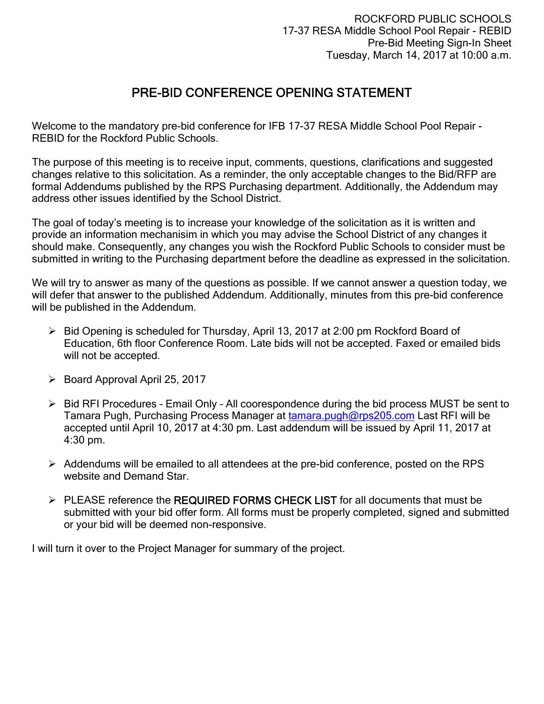# PRE-BID CONFERENCE OPENING STATEMENT

Welcome to the mandatory pre-bid conference for IFB 17-37 RESA Middle School Pool Repair - REBID for the Rockford Public Schools.

The purpose of this meeting is to receive input, comments, questions, clarifications and suggested changes relative to this solicitation. As a reminder, the only acceptable changes to the Bid/RFP are formal Addendums published by the RPS Purchasing department. Additionally, the Addendum may address other issues identified by the School District.

The goal of today's meeting is to increase your knowledge of the solicitation as it is written and provide an information mechanisim in which you may advise the School District of any changes it should make. Consequently, any changes you wish the Rockford Public Schools to consider must be submitted in writing to the Purchasing department before the deadline as expressed in the solicitation.

We will try to answer as many of the questions as possible. If we cannot answer a question today, we will defer that answer to the published Addendum. Additionally, minutes from this pre-bid conference will be published in the Addendum.

- $\triangleright$  Bid Opening is scheduled for Thursday, April 13, 2017 at 2:00 pm Rockford Board of Education, 6th floor Conference Room. Late bids will not be accepted. Faxed or emailed bids will not be accepted.
- $\triangleright$  Board Approval April 25, 2017
- $\triangleright$  Bid RFI Procedures Email Only All coorespondence during the bid process MUST be sent to Tamara Pugh, Purchasing Process Manager at tamara.pugh@rps205.com Last RFI will be accepted until April 10, 2017 at 4:30 pm. Last addendum will be issued by April 11, 2017 at 4:30 pm.
- $\triangleright$  Addendums will be emailed to all attendees at the pre-bid conference, posted on the RPS website and Demand Star.
- $\triangleright$  PLEASE reference the REQUIRED FORMS CHECK LIST for all documents that must be submitted with your bid offer form. All forms must be properly completed, signed and submitted or your bid will be deemed non-responsive.

I will turn it over to the Project Manager for summary of the project.